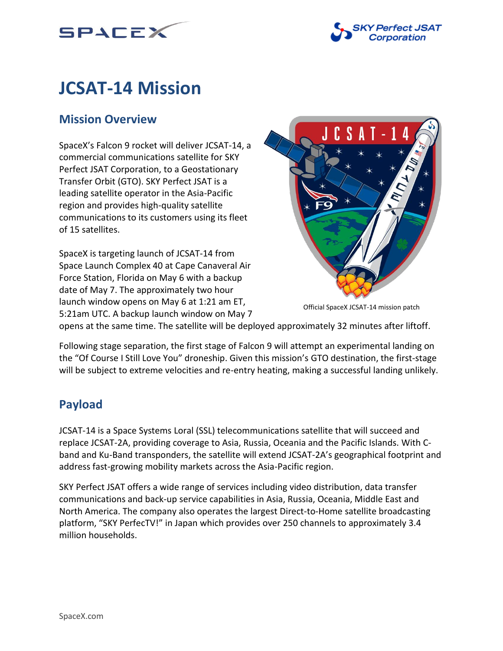



# **JCSAT-14 Mission**

# **Mission Overview**

SpaceX's Falcon 9 rocket will deliver JCSAT-14, a commercial communications satellite for SKY Perfect JSAT Corporation, to a Geostationary Transfer Orbit (GTO). SKY Perfect JSAT is a leading satellite operator in the Asia-Pacific region and provides high-quality satellite communications to its customers using its fleet of 15 satellites.

SpaceX is targeting launch of JCSAT-14 from Space Launch Complex 40 at Cape Canaveral Air Force Station, Florida on May 6 with a backup date of May 7. The approximately two hour launch window opens on May 6 at 1:21 am ET, 5:21am UTC. A backup launch window on May 7



Official SpaceX JCSAT-14 mission patch

opens at the same time. The satellite will be deployed approximately 32 minutes after liftoff.

Following stage separation, the first stage of Falcon 9 will attempt an experimental landing on the "Of Course I Still Love You" droneship. Given this mission's GTO destination, the first-stage will be subject to extreme velocities and re-entry heating, making a successful landing unlikely.

# **Payload**

JCSAT-14 is a Space Systems Loral (SSL) telecommunications satellite that will succeed and replace JCSAT-2A, providing coverage to Asia, Russia, Oceania and the Pacific Islands. With Cband and Ku-Band transponders, the satellite will extend JCSAT-2A's geographical footprint and address fast-growing mobility markets across the Asia-Pacific region.

SKY Perfect JSAT offers a wide range of services including video distribution, data transfer communications and back-up service capabilities in Asia, Russia, Oceania, Middle East and North America. The company also operates the largest Direct-to-Home satellite broadcasting platform, "SKY PerfecTV!" in Japan which provides over 250 channels to approximately 3.4 million households.